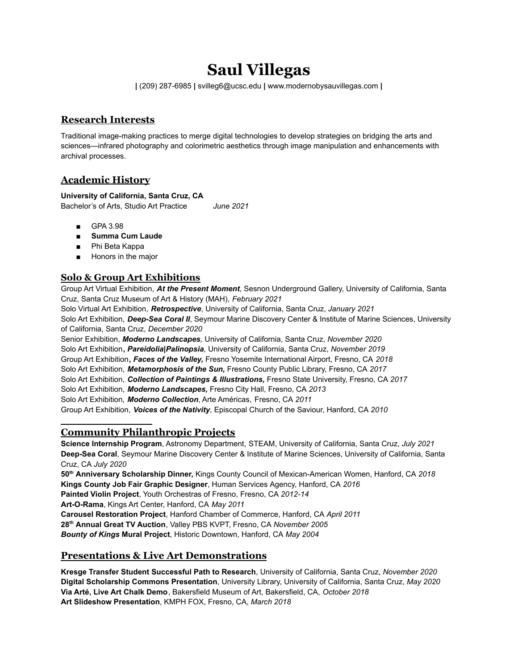# **Saul Villegas**

**|** (209) 287-6985 **|** svilleg6@ucsc.edu **|** [www.modernobysauvillegas.com](http://www.modernobysauvillegas.com) **|**

# **Research Interests**

Traditional image-making practices to merge digital technologies to develop strategies on bridging the arts and sciences—infrared photography and colorimetric aesthetics through image manipulation and enhancements with archival processes.

# **Academic History**

## **University of California, Santa Cruz, CA**

Bachelor's of Arts, Studio Art Practice *June 2021*

- GPA 3.98
- **■ Summa Cum Laude**
- Phi Beta Kappa
- Honors in the major

# **Solo & Group Art Exhibitions**

Group Art Virtual Exhibition, *At the Present Moment*, Sesnon Underground Gallery, University of California, Santa Cruz, Santa Cruz Museum of Art & History (MAH), *February 2021*

Solo Virtual Art Exhibition, *Retrospective*, University of California, Santa Cruz, *January 2021* Solo Art Exhibition, *Deep-Sea Coral II*, Seymour Marine Discovery Center & Institute of Marine Sciences, University of California, Santa Cruz, *December 2020* Senior Exhibition, *Moderno Landscapes,* University of California, Santa Cruz, *November 2020* Solo Art Exhibition**,** *Pareidolia|Palinopsia,* University of California, Santa Cruz, *November 2019*

Group Art Exhibition**,** *Faces of the Valley,* Fresno Yosemite International Airport, Fresno, CA *2018*

Solo Art Exhibition, *Metamorphosis of the Sun,* Fresno County Public Library, Fresno, CA *2017*

Solo Art Exhibition, *Collection of Paintings & Illustrations,* Fresno State University, Fresno, CA *2017*

Solo Art Exhibition, *Moderno Landscapes,* Fresno City Hall, Fresno, CA *2013*

Solo Art Exhibition, *Moderno Collection*, Arte Américas, Fresno, CA *2011*

Group Art Exhibition, *Voices of the Nativity*, Episcopal Church of the Saviour, Hanford, CA *2010*

# **Community Philanthropic Projects**

**Science Internship Program**, Astronomy Department, STEAM, University of California, Santa Cruz, *July 2021* **Deep-Sea Coral**, Seymour Marine Discovery Center & Institute of Marine Sciences, University of California, Santa Cruz, CA *July 2020*

**50th Anniversary Scholarship Dinner,** Kings County Council of Mexican-American Women, Hanford, CA *2018* **Kings County Job Fair Graphic Designer**, Human Services Agency, Hanford, CA *2016* **Painted Violin Project**, Youth Orchestras of Fresno, Fresno, CA *2012-14* **Art-O-Rama**, Kings Art Center, Hanford, CA *May 2011* **Carousel Restoration Project**, Hanford Chamber of Commerce, Hanford, CA *April 2011* **28th Annual Great TV Auction**, Valley PBS KVPT, Fresno, CA *November 2005 Bounty of Kings* **Mural Project**, Historic Downtown, Hanford, CA *May 2004*

# **Presentations & Live Art Demonstrations**

**Kresge Transfer Student Successful Path to Research**, University of California, Santa Cruz, *November 2020* **Digital Scholarship Commons Presentation**, University Library, University of California, Santa Cruz, *May 2020* **Via Arté, Live Art Chalk Demo**, Bakersfield Museum of Art, Bakersfield, CA, *October 2018* **Art Slideshow Presentation**, KMPH FOX, Fresno, CA, *March 2018*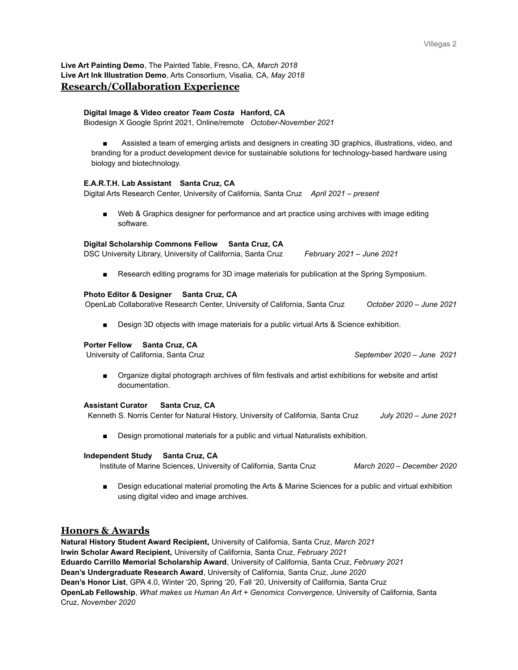**Live Art Painting Demo**, The Painted Table, Fresno, CA, *March 2018* **Live Art Ink Illustration Demo**, Arts Consortium, Visalia, CA, *May 2018* **Research/Collaboration Experience**

#### **Digital Image & Video creator** *Team Costa* **Hanford, CA**

Biodesign X Google Sprint 2021, Online/remote *October-November 2021*

Assisted a team of emerging artists and designers in creating 3D graphics, illustrations, video, and branding for a product development device for sustainable solutions for technology-based hardware using biology and biotechnology.

#### **E.A.R.T.H. Lab Assistant Santa Cruz, CA**

Digital Arts Research Center, University of California, Santa Cruz *April 2021 – present*

Web & Graphics designer for performance and art practice using archives with image editing software.

#### **Digital Scholarship Commons Fellow Santa Cruz, CA**

DSC University Library, University of California, Santa Cruz *February 2021 – June 2021*

Research editing programs for 3D image materials for publication at the Spring Symposium.

#### **Photo Editor & Designer Santa Cruz, CA**

OpenLab Collaborative Research Center, University of California, Santa Cruz *October 2020 – June 2021*

■ Design 3D objects with image materials for a public virtual Arts & Science exhibition.

#### **Porter Fellow Santa Cruz, CA**

University of California, Santa Cruz *September 2020 – June 2021*

■ Organize digital photograph archives of film festivals and artist exhibitions for website and artist documentation.

### **Assistant Curator Santa Cruz, CA**

Kenneth S. Norris Center for Natural History, University of California, Santa Cruz *July 2020 – June 2021*

Design promotional materials for a public and virtual Naturalists exhibition.

#### **Independent Study Santa Cruz, CA**

Institute of Marine Sciences, University of California, Santa Cruz *March 2020 – December 2020*

Design educational material promoting the Arts & Marine Sciences for a public and virtual exhibition using digital video and image archives.

### **Honors & Awards**

**Natural History Student Award Recipient,** University of California, Santa Cruz, *March 2021* **Irwin Scholar Award Recipient,** University of California, Santa Cruz, *February 2021* **Eduardo Carrillo Memorial Scholarship Award**, University of California, Santa Cruz, *February 2021* **Dean's Undergraduate Research Award**, University of California, Santa Cruz, *June 2020* **Dean's Honor List**, GPA 4.0, Winter '20, Spring '20, Fall '20, University of California, Santa Cruz **OpenLab Fellowship**, *What makes us Human An Art + Genomics Convergence,* University of California, Santa Cruz, *November 2020*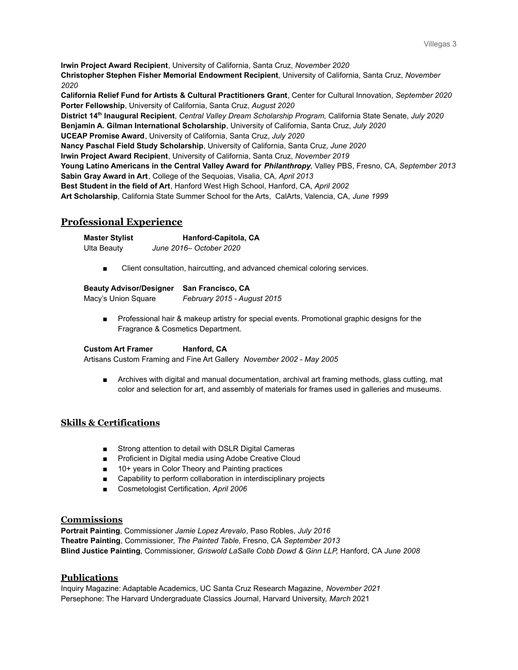**Irwin Project Award Recipient**, University of California, Santa Cruz, *November 2020* **Christopher Stephen Fisher Memorial Endowment Recipient**, University of California, Santa Cruz, *November 2020* **California Relief Fund for Artists & Cultural Practitioners Grant**, Center for Cultural Innovation, *September 2020*

**Porter Fellowship**, University of California, Santa Cruz, *August 2020* **District 14th Inaugural Recipient**, *Central Valley Dream Scholarship Program,* California State Senate, *July 2020* **Benjamin A. Gilman International Scholarship**, University of California, Santa Cruz, *July 2020* **UCEAP Promise Award**, University of California, Santa Cruz, *July 2020* **Nancy Paschal Field Study Scholarship**, University of California, Santa Cruz, *June 2020* **Irwin Project Award Recipient**, University of California, Santa Cruz, *November 2019* **Young Latino Americans in the Central Valley Award for** *Philanthropy,* Valley PBS, Fresno, CA, *September 2013* **Sabin Gray Award in Art**, College of the Sequoias, Visalia, CA, *April 2013* **Best Student in the field of Art**, Hanford West High School, Hanford, CA, *April 2002* **Art Scholarship**, California State Summer School for the Arts, CalArts, Valencia, CA, *June 1999*

# **Professional Experience**

| <b>Master Stylist</b> | Hanford-Capitola, CA    |
|-----------------------|-------------------------|
| Ulta Beauty           | June 2016– October 2020 |

Client consultation, haircutting, and advanced chemical coloring services.

| <b>Beauty Advisor/Designer</b> | <b>San Francisco, CA</b>    |
|--------------------------------|-----------------------------|
| Macy's Union Square            | February 2015 - August 2015 |

Professional hair & makeup artistry for special events. Promotional graphic designs for the Fragrance & Cosmetics Department.

### **Custom Art Framer Hanford, CA**

Artisans Custom Framing and Fine Art Gallery *November 2002 - May 2005*

■ Archives with digital and manual documentation, archival art framing methods, glass cutting, mat color and selection for art, and assembly of materials for frames used in galleries and museums.

# **Skills & Certifications**

- Strong attention to detail with DSLR Digital Cameras
- Proficient in Digital media using Adobe Creative Cloud
- 10+ years in Color Theory and Painting practices
- Capability to perform collaboration in interdisciplinary projects
- Cosmetologist Certification, *April 2006*

### **Commissions**

**Portrait Painting**, Commissioner *Jamie Lopez Arevalo*, Paso Robles, *July 2016* **Theatre Painting**, Commissioner, *The Painted Table,* Fresno, CA *September 2013* **Blind Justice Painting**, Commissioner, *Griswold LaSalle Cobb Dowd & Ginn LLP,* Hanford, CA *June 2008*

### **Publications**

Inquiry Magazine: Adaptable Academics, UC Santa Cruz Research Magazine, *November 2021* Persephone: The Harvard Undergraduate Classics Journal, Harvard University, *March* 2021